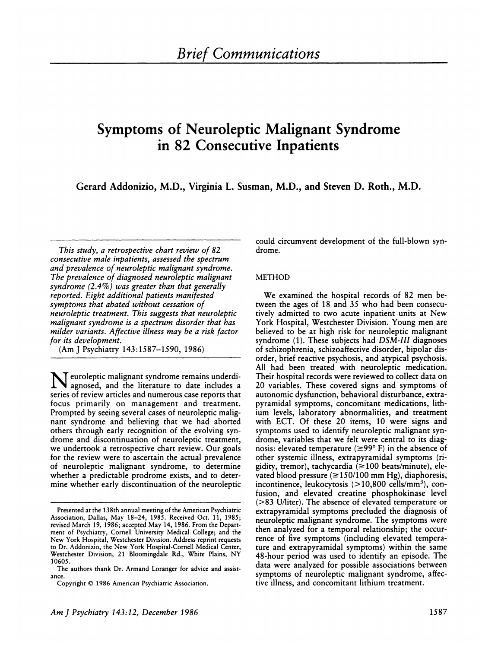# **Symptoms of Neuroleptic Malignant Syndrome in 82 Consecutive Inpatients**

**Gerard Addonizio, M.D., Virginia L. Susman, M.D., and Steven D. Roth., M.D.**

*This study, a retrospective chart review of 82 consecutive male inpatients, assessed the spectrum and prevalence of neuroleptic malignant syndrome. The prevalence of diagnosed neuroleptic malignant syndrome (2.4%) was greater than that generally reported. Eight additional patients manifested symptoms that abated without cessation of neuroleptic treatment. This suggests that neuroleptic malignant syndrome is a spectrum disorder that has milder variants. Affective illness may be a risk factor for its development.*

(Am J Psychiatry 143:1587-1590, 1986)

N euroleptic malignant syndrome remains under agnosed, and the literature to date includes a series of review articles and numerous case reports that focus primarily on management and treatment. Prompted by seeing several cases of neuroleptic malig nant syndrome and believing that we had aborted others through early recognition of the evolving syndrome and discontinuation of neuroleptic treatment, we undertook a retrospective chart review. Our goals for the review were to ascertain the actual prevalence of neuroleptic malignant syndrome, to determine whether a predictable prodrome exists, and to determine whether early discontinuation of the neuroleptic

could circumvent development of the full-blown syndrome.

## METHOD

We examined the hospital records of 82 men between the ages of 18 and 35 who had been consecutively admitted to two acute inpatient units at New York Hospital, Westchester Division. Young men are believed to be at high risk for neuroleptic malignant syndrome (1). These subjects had *DSM-III* diagnoses of schizophrenia, schizoaffective disorder, bipolar disorder, brief reactive psychosis, and atypical psychosis. All had been treated with neuroleptic medication. Their hospital records were reviewed to collect data on 20 variables. These covered signs and symptoms of autonomic dysfunction, behavioral disturbance, extrapyramidal symptoms, concomitant medications, lithium levels, laboratory abnormalities, and treatment with ECT. Of these 20 items, 10 were signs and symptoms used to identify neuroleptic malignant syndrome, variables that we felt were central to its diagnosis: elevated temperature (≥99°F) in the absence of other systemic illness, extrapyramidal symptoms (nigidity, tremor), tachycardia ( $\geq$ 100 beats/minute), elevated blood pressure ( $\geq$ 150/100 mm Hg), diaphoresis, incontinence, leukocytosis  $(>10,800 \text{ cells/mm}^3)$ , confusion, and elevated creatine phosphokinase level (>83 U/liter). The absence of elevated temperature or extrapyramidal symptoms precluded the diagnosis of neuroleptic malignant syndrome. The symptoms were then analyzed for a temporal relationship; the occurrence of five symptoms (including elevated temperature and extrapyramidal symptoms) within the same 48-hour period was used to identify an episode. The data were analyzed for possible associations between symptoms of neuroleptic malignant syndrome, affective illness, and concomitant lithium treatment.

Presented at the 138th annual meeting of the American Psychiatric Association, Dallas, May 18-24, 1985. Received Oct. 11, 1985; revised March 19, 1986; accepted May 14, 1986. From the Depart ment of Psychiatry, Cornell University Medical College; and the New York Hospital, Westchester Division. Address reprint requests to Dr. Addonizio, the New York Hospital-Cornell Medical Center, Westchester Division, 21 Bloomingdale Rd., White Plains, NY 10605.

The authors thank Dr. Armand Loranger for advice and assist ance.

Copyright © 1986 American Psychiatric Association.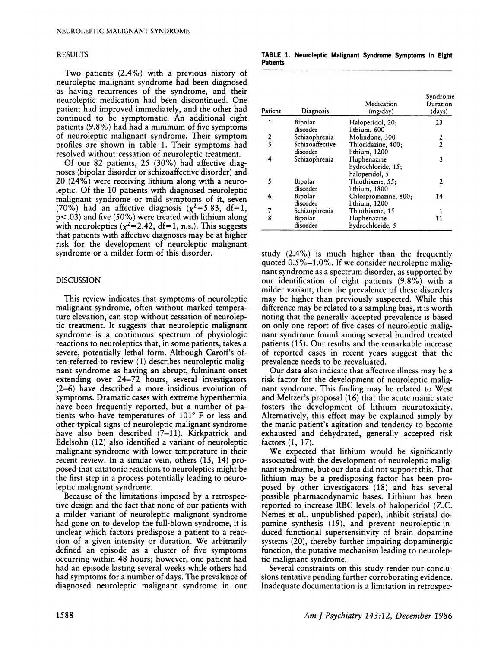### RESULTS

Two patients (2.4%) with a previous history of neuroleptic malignant syndrome had been diagnosed as having recurrences of the syndrome, and their neuroleptic medication had been discontinued. One patient had improved immediately, and the other had continued to be symptomatic. An additional eight patients (9.8%) had had a minimum of five symptoms of neunoleptic malignant syndrome. Their symptom profiles are shown in table 1. Their symptoms had resolved without cessation of neuroleptic treatment.

Of our 82 patients, 25 (30%) had affective diag noses (bipolar disorder on schizoaffective disorder) and 20 (24%) were receiving lithium along with a neunoleptic. Of the 10 patients with diagnosed neuroleptic malignant syndrome or mild symptoms of it, seven (70%) had an affective diagnosis ( $\chi^2$ =5.83, df=1,  $p$ <.03) and five (50%) were treated with lithium along with neuroleptics  $(x^2=2.42, df=1, n.s.).$  This suggests that patients with affective diagnoses may be at higher risk for the development of neuroleptic malignant syndrome or a milder form of this disorder.

#### DISCUSSION

This review indicates that symptoms of neuroleptic malignant syndrome, often without marked temperatune elevation, can stop without cessation of neuroleptic treatment. It suggests that neuroleptic malignant syndrome is a continuous spectrum of physiologic reactions to neuroleptics that, in some patients, takes a severe, potentially lethal form. Although Caroff's often-referred-to review (1) describes neuroleptic malignant syndrome as having an abrupt, fulminant onset extending over 24-72 hours, several investigators (2-6) have described a more insidious evolution of symptoms. Dramatic cases with extreme hyperthermia have been frequently reported, but a number of patients who have temperatures of  $101^{\circ}$  F or less and other typical signs of neunoleptic malignant syndrome have also been described (7–11). Kirkpatrick and Edelsohn (12) also identified a variant of neuroleptic malignant syndrome with lower temperature in their recent review. In a similar vein, others (13, 14) proposed that catatonic reactions to neuroleptics might be the first step in a process potentially leading to neunoleptic malignant syndrome.

Because of the limitations imposed by a netrospective design and the fact that none of our patients with a milder variant of neuroleptic malignant syndrome had gone on to develop the full-blown syndrome, it is unclear which factors predispose a patient to a reaction of a given intensity or duration. We arbitrarily defined an episode as a cluster of five symptoms occurring within 48 hours; however, one patient had had an episode lasting several weeks while others had had symptoms for a number of days. The prevalence of diagnosed neunoleptic malignant syndrome in our **TABLE 1. Neuroleptic Malignant Syndrome Symptoms in Eight Patients** 

| Patient                 | Diagnosis                   | Medication<br>(mg/day)                               | Syndrome<br>Duration<br>(days) |  |
|-------------------------|-----------------------------|------------------------------------------------------|--------------------------------|--|
| 1                       | Bipolar<br>disorder         | Haloperidol, 20;<br>lithium, 600                     | 23                             |  |
| 2                       | Schizophrenia               | Molindone, 300                                       | 2                              |  |
| $\overline{\mathbf{3}}$ | Schizoaffective<br>disorder | Thioridazine, 400;<br>lithium, 1200                  | $\overline{2}$                 |  |
| 4                       | Schizophrenia               | Fluphenazine<br>hydrochloride, 15;<br>haloperidol, 5 | 3                              |  |
| 5                       | Bipolar<br>disorder         | Thiothixene, 55;<br>lithium, 1800                    | 2                              |  |
| 6                       | Bipolar<br>disorder         | Chlorpromazine, 800;<br>lithium, 1200                | 14                             |  |
| 7                       | Schizophrenia               | Thiothixene, 15                                      |                                |  |
| 8                       | Bipolar<br>disorder         | Fluphenazine<br>hydrochloride, 5                     | 11                             |  |

study (2.4%) is much higher than the frequently quoted 0.S%-1.0%. If we consider neuroleptic malignant syndrome as a spectrum disorder, as supported by our identification of eight patients (9.8%) with a milder variant, then the prevalence of these disorders may be higher than previously suspected. While this difference may be related to a sampling bias, it is worth noting that the generally accepted prevalence is based on only one report of five cases of neunoleptic malignant syndrome found among several hundred treated patients (15). Our results and the remarkable increase of reported cases in recent years suggest that the prevalence needs to be reevaluated.

Our data also indicate that affective illness may be a risk factor for the development of neunoleptic malignant syndrome. This finding may be related to West and Meltzer's proposal (16) that the acute manic state fosters the development of lithium neurotoxicity. Alternatively, this effect may be explained simply by the manic patient's agitation and tendency to become exhausted and dehydrated, generally accepted risk factors (1, 17).

We expected that lithium would be significantly associated with the development of neuroleptic malig nant syndrome, but our data did not support this. That lithium may be a predisposing factor has been proposed by other investigators (18) and has several possible pharmacodynamic bases. Lithium has been reported to increase RBC levels of haloperidol (Z.C. Nemes et al., unpublished paper), inhibit striatal dopamine synthesis (19), and prevent neuroleptic-induced functional supersensitivity of brain dopamine systems (20), thereby further impairing dopaminergic function, the putative mechanism leading to neuroleptic malignant syndrome.

Several constraints on this study render our conclusions tentative pending further corroborating evidence. Inadequate documentation is a limitation in retrospec-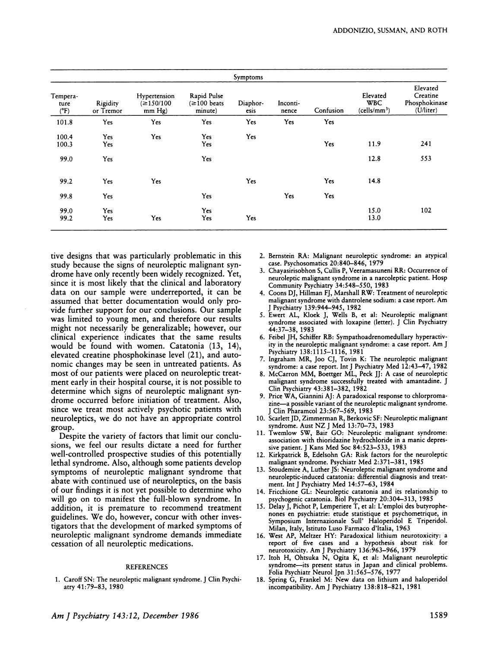| Symptoms                          |                       |                                          |                                               |                  |                   |           |                                                    |                                                              |  |  |
|-----------------------------------|-----------------------|------------------------------------------|-----------------------------------------------|------------------|-------------------|-----------|----------------------------------------------------|--------------------------------------------------------------|--|--|
| Tempera-<br>ture<br>$(^{\circ}F)$ | Rigidity<br>or Tremor | Hypertension<br>$\leq 150/100$<br>mm Hg) | Rapid Pulse<br>$\approx 100$ beats<br>minute) | Diaphor-<br>esis | Inconti-<br>nence | Confusion | Elevated<br><b>WBC</b><br>(cells/mm <sup>3</sup> ) | Elevated<br>Creatine<br>Phosphokinase<br>$(\dot{U}/\dot{U})$ |  |  |
| 101.8                             | Yes                   | Yes                                      | Yes                                           | Yes              | Yes               | Yes       |                                                    |                                                              |  |  |
| 100.4<br>100.3                    | Yes<br>Yes            | Yes                                      | Yes<br>Yes                                    | Yes              |                   | Yes       | 11.9                                               | 241                                                          |  |  |
| 99.0                              | Yes                   |                                          | Yes                                           |                  |                   |           | 12.8                                               | 553                                                          |  |  |
| 99.2                              | Yes                   | Yes                                      |                                               | Yes              |                   | Yes       | 14.8                                               |                                                              |  |  |
| 99.8                              | Yes                   |                                          | Yes                                           |                  | Yes               | Yes       |                                                    |                                                              |  |  |
| 99.0<br>99.2                      | Yes<br>Yes            | Yes                                      | Yes<br>Yes                                    | Yes              |                   |           | 15.0<br>13.0                                       | 102                                                          |  |  |

tive designs that was particularly problematic in this study because the signs of neuroleptic malignant syndrome have only recently been widely recognized. Yet, since it is most likely that the clinical and laboratory data on our sample were underreported, it can be assumed that better documentation would only provide further support for our conclusions. Our sample was limited to young men, and therefore our results might not necessarily be generalizable; however, our clinical experience indicates that the same results would be found with women. Catatonia (13, 14), elevated creatine phosphokinase level (21), and autonomic changes may be seen in untreated patients. As most of our patients were placed on neuroleptic treatment early in their hospital course, it is not possible to determine which signs of neuroleptic malignant syndrome occurred before initiation of treatment. Also, since we treat most actively psychotic patients with neuroleptics, we do not have an appropriate control group.

Despite the variety of factors that limit our conclusions, we feel our results dictate a need for further well-controlled prospective studies of this potentially lethal syndrome. Also, although some patients develop symptoms of neuroleptic malignant syndrome that abate with continued use of neunoleptics, on the basis of our findings it is not yet possible to determine who will go on to manifest the full-blown syndrome. In addition, it is premature to recommend treatment guidelines. We do, however, concur with other investigators that the development of marked symptoms of neunoleptic malignant syndrome demands immediate cessation of all neuroleptic medications.

#### REFERENCES

1. Caroff SN: The neuroleptic malignant syndrome. J Clin Psychiarty 41:79-83, 1980

- 2. Bernstein RA: Malignant neuroleptic syndrome: an atypical case. Psychosomatics 20:840-846, 1979
- 3. Chayasirisobhon 5, Cullis P, Veeramasuneni RR: Occurrence of neuroleptic malignant syndrome in a narcoleptic patient. Hosp Community Psychiatry 34:548-550, 1983
- 4. Coons DJ, Hillman FJ, Marshall RW: Treatment of neuroleptic malignant syndrome with dantrolene sodium: a case report. Am J Psychiatry 139:944-945, 1982
- *S.* Ewert AL, Kloek J, Wells B, et al: Neuroleptic malignant syndrome associated with loxapine (letter). J Clin Psychiatry 44:37-38, 1983
- 6. Feibel JH, Schiffer RB: Sympathoadrenomedullary hyperactivity in the neuroleptic malignant syndrome: a case report. Am J Psychiatry 138:1115-1116, 1981
- 7. Ingraham MR, Joo CJ, Tovin K: The neuroleptic malignant syndrome: a case report. Int J Psychiatry Med 12:43-47, 1982
- 8. McCarron MM, Boettger ML, Peck JJ: A case of neuroleptic malignant syndrome successfully treated with amantadine. J Clin Psychiatry 43:381-382, 1982
- **9.** Price WA, Giannini AJ: A paradoxical response to chlorpromazine-a possible variant of the neuroleptic malignant syndrome. Clin Pharamcol 23:567-569, 1983
- 10. Scarlett JD, Zimmerman R, Berkovic SF: Neuroleptic malignant syndrome. Aust NZ J Med 13:70-73, 1983
- 11. Twemlow SW, Bair GO: Neuroleptic malignant syndrome: association with thioridazine hydrochloride in a manic depressive patient. J Kans Med Soc 84:523-533, 1983
- 12. Kirkpatrick B, Edelsohn GA: Risk factors for the neuroleptic malignant syndrome. Psychiatr Med 2:371-381, 1985
- 13. Stoudemire A, Luther JS: Neuroleptic malignant syndrome and neuroleptic-induced catatonia: differential diagnosis and treat ment. Int J Psychiatry Med 14:57-63, 1984
- 14. Fricchione GL: Neuroleptic catatonia and its relationship to psychogenic catatonia. Biol Psychiatry 20:304-313, 198S
- 15. Delay J, Pichot P, Lemperiere T, et al: L'emploi des butyrophenones en psychiatric: etude statistique et psychometrique, in Symposium Internazionale Sull' Haloperidol E Triperidol. Milan, Italy, Istituto Luso Farmaco d'Italia, 1963
- 16. West AP, Meltzer HY: Paradoxical lithium neurotoxicity: a report of five cases and a hypothesis about risk for neurotoxicity. Am J Psychiatry 136:963-966, 1979
- 17. Itoh H, Ohtsuka N, Ogita K, et al: Malignant neuroleptic syndrome-its present status in Japan and clinical problems. Folia Psychiatr Neurol Jpn 31:565-576, 1977
- 18. Spring G, Frankel M: New data on lithium and haloperidol incompatibility. Am J Psychiatry 138:818-821, 1981